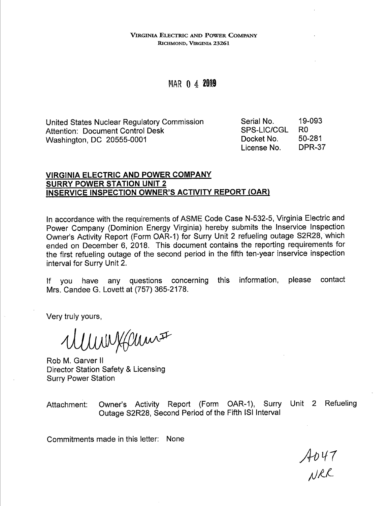#### **VIRGINIA ELECTRIC AND POWER COMPANY RICHMOND, VIRGINIA 23261**

# MAR O 4 **20fi9**

United States Nuclear Regulatory Commission Attention: Document Control Desk Washington, DC 20555-0001

Serial No. SPS-LIC/CGL Docket No. License No. 19-093 RO 50-281 DPR-37

# **VIRGINIA ELECTRIC AND POWER COMPANY SURRY POWER STATION UNIT 2 INSERVICE INSPECTION OWNER'S ACTIVITY REPORT (OAR)**

In accordance with the requirements of ASME Code Case N-532-5, Virginia Electric and Power Company (Dominion Energy Virginia) hereby submits the lnservice Inspection Owner's Activity Report (Form OAR-1) for Surry Unit 2 refueling outage S2R28, which ended on December 6, 2018. This document contains the reporting requirements for the first refueling outage of the second period in the fifth ten-year inservice inspection interval for Surry Unit 2.

If you have any questions concerning this information, please contact Mrs. Candee G. Lovett at (757) 365-2178.

Very truly yours,

WWWWHam

Rob M. Garver II Director Station Safety & Licensing Surry Power Station

Attachment: Owner's Activity Report (Form OAR-1), Surry Unit 2 Refueling Outage S2R28, Second Period of the Fifth ISi Interval

Commitments made in this letter: None

 $A047$ <br>NRR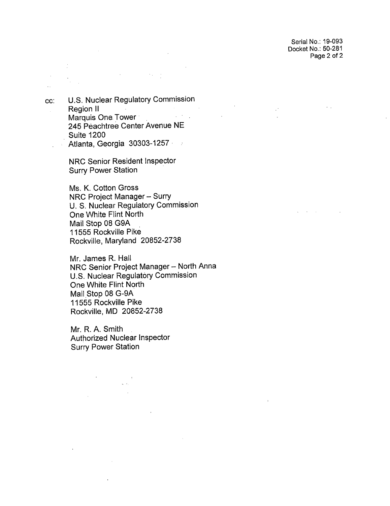Serial No.: 19-093 Docket No.: 50-281 Page 2 of 2

and the company of

 $\sim$   $\sim$ 

cc: U.S. Nuclear Regulatory Commission Region II  $\mathbb{R}^2$ Marquis One. Tower· 245 Peachtree Center Avenue NE Suite 1200 Atlanta, Georgia 30303-1257 ·  $\sim$ 

 $\mathcal{L}^{\text{max}}_{\text{max}}$  , where  $\mathcal{L}^{\text{max}}_{\text{max}}$ 

 $\sim 10$ 

NRC Senior Resident Inspector Surry Power Station

Ms. K. Cotton Gross NRC Project Manager - Surry U. S. Nuclear Regulatory Commission One White Flint North Mail Stop 08 G9A 11555 Rockville Pike Rockville, Maryland 20852-2738

Mr. James R. Hall NRC Senior Project Manager - North Anna U.S. Nuclear Regulatory Commission One White Flint North Mail Stop 08 G-9A 11555 Rockville Pike Rockville, MD 20852-2738

Mr. R. A. Smith Authorized Nuclear Inspector Surry Power Station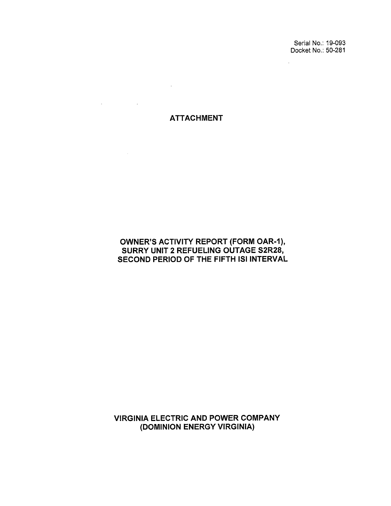Serial No.: 19-093 Docket No.: 50-281

 $\mathbb{R}^2$ 

ATTACHMENT

 $\sim 100$ 

 $\mathcal{L}(\mathcal{A})$  and  $\mathcal{L}(\mathcal{A})$  are  $\mathcal{L}(\mathcal{A})$  . Then,  $\mathcal{L}(\mathcal{A})$ 

OWNER'S ACTIVITY REPORT (FORM OAR-1), SURRY UNIT 2 REFUELING OUTAGE S2R28, SECOND PERIOD OF THE FIFTH ISi INTERVAL

VIRGINIA ELECTRIC AND POWER COMPANY (DOMINION ENERGY VIRGINIA)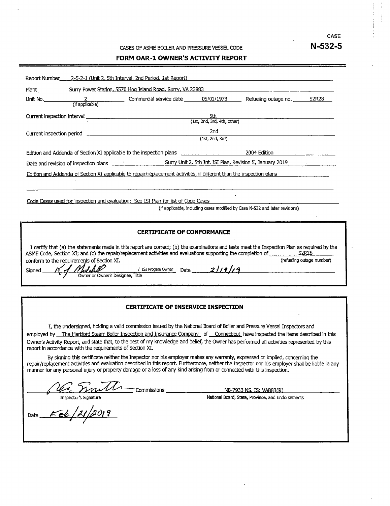**CASE N-532-5** 

#### **FORM OAR-1 OWNER'S ACTIVITY REPORT**

| Report Number____ 2-5-2-1 (Unit 2, 5th Interval, 2nd Period, 1st Report)                                                                                                                                                                                                                                                                                                                                                                                   |                                                                                                               |  |  |  |  |  |  |
|------------------------------------------------------------------------------------------------------------------------------------------------------------------------------------------------------------------------------------------------------------------------------------------------------------------------------------------------------------------------------------------------------------------------------------------------------------|---------------------------------------------------------------------------------------------------------------|--|--|--|--|--|--|
|                                                                                                                                                                                                                                                                                                                                                                                                                                                            |                                                                                                               |  |  |  |  |  |  |
| Unit No. 2 2 2 Commercial service date 05/01/1973 Refueling outage no. 52R28                                                                                                                                                                                                                                                                                                                                                                               |                                                                                                               |  |  |  |  |  |  |
|                                                                                                                                                                                                                                                                                                                                                                                                                                                            |                                                                                                               |  |  |  |  |  |  |
|                                                                                                                                                                                                                                                                                                                                                                                                                                                            | 2nd<br>(1st, 2nd, 3rd)                                                                                        |  |  |  |  |  |  |
| Edition and Addenda of Section XI applicable to the inspection plans entitled as a section of Edition                                                                                                                                                                                                                                                                                                                                                      |                                                                                                               |  |  |  |  |  |  |
|                                                                                                                                                                                                                                                                                                                                                                                                                                                            | Date and revision of inspection plans entity of the Surry Unit 2, 5th Int. ISI Plan, Revision 5, January 2019 |  |  |  |  |  |  |
| Edition and Addenda of Section XI applicable to repair/replacement activities, if different than the inspection plans                                                                                                                                                                                                                                                                                                                                      |                                                                                                               |  |  |  |  |  |  |
| Code Cases used for inspection and evaluation: See ISI Plan for list of Code Cases<br>(if applicable, including cases modified by Case N-532 and later revisions)                                                                                                                                                                                                                                                                                          |                                                                                                               |  |  |  |  |  |  |
| <b>CERTIFICATE OF CONFORMANCE</b>                                                                                                                                                                                                                                                                                                                                                                                                                          |                                                                                                               |  |  |  |  |  |  |
| I certify that (a) the statements made in this report are correct; (b) the examinations and tests meet the Inspection Plan as required by the<br>ASME Code, Section XI; and (c) the repair/replacement activities and evaluations supporting the completion of ______________ S2R28<br>(refueling outage number)<br>conform to the requirements of Section XI.<br>Mullet New 1 ISI Progam Owner Date 2/19/19<br>Owner or Owner's Designee, Title<br>Sianed |                                                                                                               |  |  |  |  |  |  |
|                                                                                                                                                                                                                                                                                                                                                                                                                                                            |                                                                                                               |  |  |  |  |  |  |

### **CERTIFICATE OF INSERVICE INSPECTION**

I, the undersigned, holding a valid commission issued by the National Board of Boiler and Pressure Vessel Inspectors and employed by The Hartford Steam Boiler Inspection and Insurance Company of Connecticut have inspected the items described in this Owner's Activity Report, and state that, to the best of my knowledge and belief, the Owner has performed all activities represented by this report in accordance with the requirements of Section XI.

By signing this certificate neither the Inspector nor his employer makes any warranty, expressed or implied, concerning the repair/replacement activities and evaluation described in this report. Furthermore, neither the Inspector nor his employer shall be liable in any manner for any personal injury or property damage or a loss of any kind aris manner for any personal injury or property damage or a loss of any kind arising from or connected with this inspection. *X*<br>*X*<br>Diacement activities and evaluation described in this report. Furthermore, neither the Inspector nor his employer shall be liable in any<br>or any personal injury or property damage or a loss of any kind arising from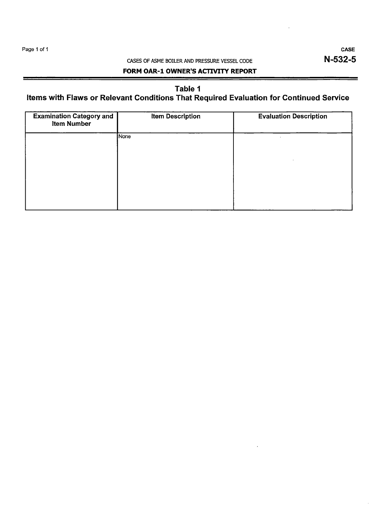## CASES OF ASME BOILER AND PRESSURE VESSEL CODE

CASE N-532-5

## **FORM OAR-1 OWNER'S ACTIVITY REPORT**

# Table 1

# Items with Flaws or Relevant Conditions That Required Evaluation for Continued Service

| <b>Examination Category and</b><br><b>Item Number</b> | <b>Item Description</b> | <b>Evaluation Description</b> |  |  |
|-------------------------------------------------------|-------------------------|-------------------------------|--|--|
|                                                       | None                    | ٠                             |  |  |
|                                                       |                         |                               |  |  |
|                                                       |                         |                               |  |  |
|                                                       |                         |                               |  |  |